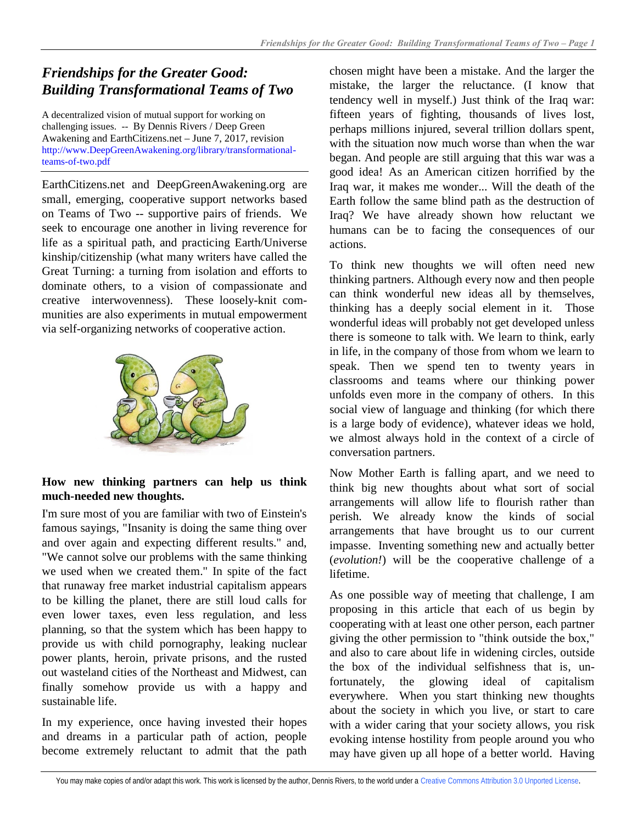# *Friendships for the Greater Good: Building Transformational Teams of Two*

A decentralized vision of mutual support for working on challenging issues. -- By Dennis Rivers / Deep Green Awakening and EarthCitizens.net – June 7, 2017, revision [http://www.DeepGreenAwakening.org/library/transformational](http://www.deepgreenawakening.org/library/transformational-teams-of-two.pdf)[teams-of-two.pdf](http://www.deepgreenawakening.org/library/transformational-teams-of-two.pdf)

EarthCitizens.net and DeepGreenAwakening.org are small, emerging, cooperative support networks based on Teams of Two -- supportive pairs of friends. We seek to encourage one another in living reverence for life as a spiritual path, and practicing Earth/Universe kinship/citizenship (what many writers have called the Great Turning: a turning from isolation and efforts to dominate others, to a vision of compassionate and creative interwovenness). These loosely-knit communities are also experiments in mutual empowerment via self-organizing networks of cooperative action.



# **How new thinking partners can help us think much-needed new thoughts.**

I'm sure most of you are familiar with two of Einstein's famous sayings, "Insanity is doing the same thing over and over again and expecting different results." and, "We cannot solve our problems with the same thinking we used when we created them." In spite of the fact that runaway free market industrial capitalism appears to be killing the planet, there are still loud calls for even lower taxes, even less regulation, and less planning, so that the system which has been happy to provide us with child pornography, leaking nuclear power plants, heroin, private prisons, and the rusted out wasteland cities of the Northeast and Midwest, can finally somehow provide us with a happy and sustainable life.

In my experience, once having invested their hopes and dreams in a particular path of action, people become extremely reluctant to admit that the path chosen might have been a mistake. And the larger the mistake, the larger the reluctance. (I know that tendency well in myself.) Just think of the Iraq war: fifteen years of fighting, thousands of lives lost, perhaps millions injured, several trillion dollars spent, with the situation now much worse than when the war began. And people are still arguing that this war was a good idea! As an American citizen horrified by the Iraq war, it makes me wonder... Will the death of the Earth follow the same blind path as the destruction of Iraq? We have already shown how reluctant we humans can be to facing the consequences of our actions.

To think new thoughts we will often need new thinking partners. Although every now and then people can think wonderful new ideas all by themselves, thinking has a deeply social element in it. Those wonderful ideas will probably not get developed unless there is someone to talk with. We learn to think, early in life, in the company of those from whom we learn to speak. Then we spend ten to twenty years in classrooms and teams where our thinking power unfolds even more in the company of others. In this social view of language and thinking (for which there is a large body of evidence), whatever ideas we hold, we almost always hold in the context of a circle of conversation partners.

Now Mother Earth is falling apart, and we need to think big new thoughts about what sort of social arrangements will allow life to flourish rather than perish. We already know the kinds of social arrangements that have brought us to our current impasse. Inventing something new and actually better (*evolution!*) will be the cooperative challenge of a lifetime.

As one possible way of meeting that challenge, I am proposing in this article that each of us begin by cooperating with at least one other person, each partner giving the other permission to "think outside the box," and also to care about life in widening circles, outside the box of the individual selfishness that is, unfortunately, the glowing ideal of capitalism everywhere. When you start thinking new thoughts about the society in which you live, or start to care with a wider caring that your society allows, you risk evoking intense hostility from people around you who may have given up all hope of a better world. Having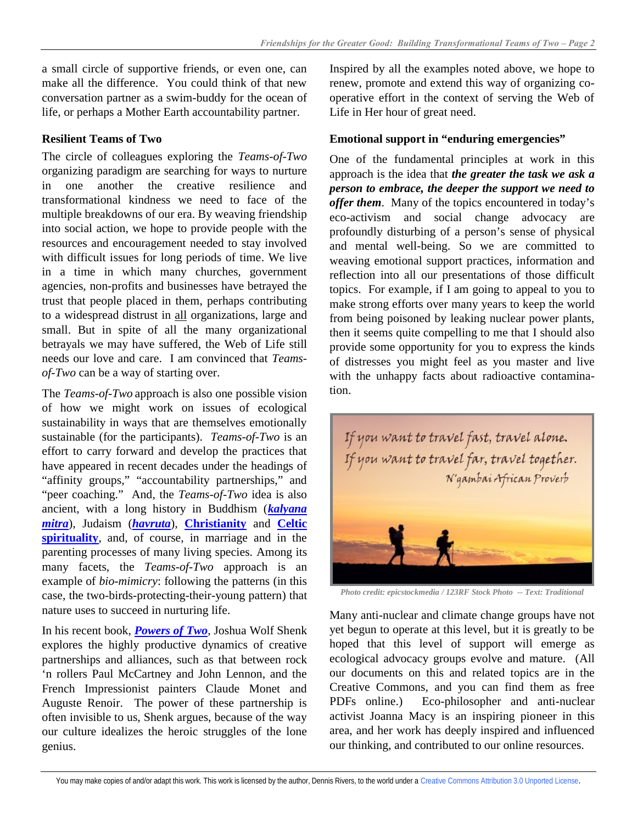a small circle of supportive friends, or even one, can make all the difference. You could think of that new conversation partner as a swim-buddy for the ocean of life, or perhaps a Mother Earth accountability partner.

# **Resilient Teams of Two**

The circle of colleagues exploring the *Teams-of-Two* organizing paradigm are searching for ways to nurture in one another the creative resilience and transformational kindness we need to face of the multiple breakdowns of our era. By weaving friendship into social action, we hope to provide people with the resources and encouragement needed to stay involved with difficult issues for long periods of time. We live in a time in which many churches, government agencies, non-profits and businesses have betrayed the trust that people placed in them, perhaps contributing to a widespread distrust in all organizations, large and small. But in spite of all the many organizational betrayals we may have suffered, the Web of Life still needs our love and care. I am convinced that *Teamsof-Two* can be a way of starting over.

The *Teams-of-Two* approach is also one possible vision of how we might work on issues of ecological sustainability in ways that are themselves emotionally sustainable (for the participants). *Teams-of-Two* is an effort to carry forward and develop the practices that have appeared in recent decades under the headings of "affinity groups," "accountability partnerships," and "peer coaching." And, the *Teams-of-Two* idea is also ancient, with a long history in Buddhism (*[kalyana](http://www.amazon.com/gp/product/1899579621/ref=oh_aui_detailpage_o01_s00?ie=UTF8&psc=1)  [mitra](http://www.amazon.com/gp/product/1899579621/ref=oh_aui_detailpage_o01_s00?ie=UTF8&psc=1)*), Judaism (*[havruta](http://www.myjewishlearning.com/practices/Ritual/Torah_Study/How_to_Study_Torah/Havruta_Learning_in_Pairs_.shtml)*), **[Christianity](http://www.catholicireland.net/aelred-of-rievaulx-on-spiritual-friendship/)** and **[Celtic](http://www.goodreads.com/author/quotes/6224.John_O_Donohue)  [spirituality](http://www.goodreads.com/author/quotes/6224.John_O_Donohue)**, and, of course, in marriage and in the parenting processes of many living species. Among its many facets, the *Teams-of-Two* approach is an example of *bio-mimicry*: following the patterns (in this case, the two-birds-protecting-their-young pattern) that nature uses to succeed in nurturing life.

In his recent book, *[Powers of Two](http://global-find-a-book.net/joshua-wolf-shenk-powers-of-two-0544031598-9780544031593/)*, Joshua Wolf Shenk explores the highly productive dynamics of creative partnerships and alliances, such as that between rock 'n rollers Paul McCartney and John Lennon, and the French Impressionist painters Claude Monet and Auguste Renoir. The power of these partnership is often invisible to us, Shenk argues, because of the way our culture idealizes the heroic struggles of the lone genius.

Inspired by all the examples noted above, we hope to renew, promote and extend this way of organizing cooperative effort in the context of serving the Web of Life in Her hour of great need.

# **Emotional support in "enduring emergencies"**

One of the fundamental principles at work in this approach is the idea that *the greater the task we ask a person to embrace, the deeper the support we need to offer them*. Many of the topics encountered in today's eco-activism and social change advocacy are profoundly disturbing of a person's sense of physical and mental well-being. So we are committed to weaving emotional support practices, information and reflection into all our presentations of those difficult topics. For example, if I am going to appeal to you to make strong efforts over many years to keep the world from being poisoned by leaking nuclear power plants, then it seems quite compelling to me that I should also provide some opportunity for you to express the kinds of distresses you might feel as you master and live with the unhappy facts about radioactive contamination.



*Photo credit: epicstockmedia / 123RF Stock Photo -- Text: Traditional*

Many anti-nuclear and climate change groups have not yet begun to operate at this level, but it is greatly to be hoped that this level of support will emerge as ecological advocacy groups evolve and mature. (All our documents on this and related topics are in the Creative Commons, and you can find them as free PDFs online.) Eco-philosopher and anti-nuclear activist Joanna Macy is an inspiring pioneer in this area, and her work has deeply inspired and influenced our thinking, and contributed to our online resources.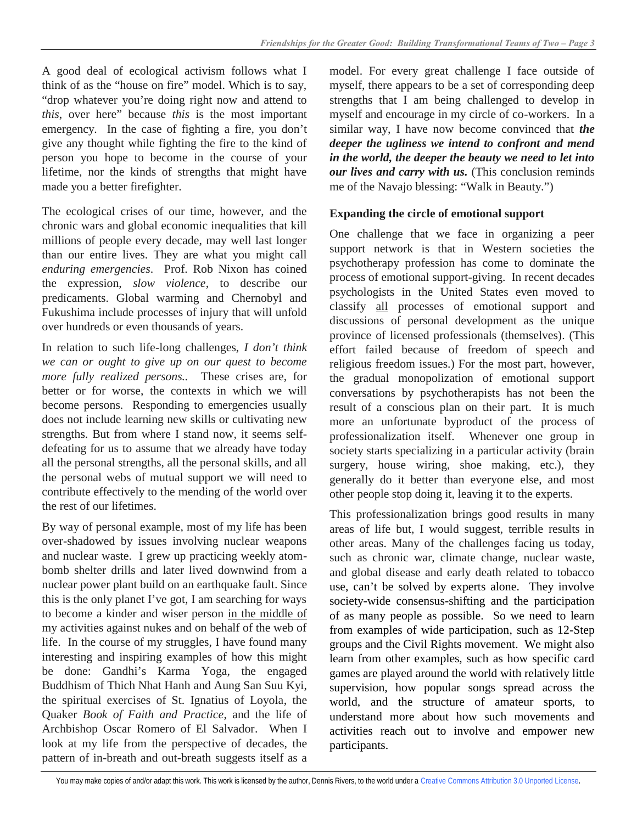A good deal of ecological activism follows what I think of as the "house on fire" model. Which is to say, "drop whatever you're doing right now and attend to *this*, over here" because *this* is the most important emergency. In the case of fighting a fire, you don't give any thought while fighting the fire to the kind of person you hope to become in the course of your lifetime, nor the kinds of strengths that might have made you a better firefighter.

The ecological crises of our time, however, and the chronic wars and global economic inequalities that kill millions of people every decade, may well last longer than our entire lives. They are what you might call *enduring emergencies*. Prof. Rob Nixon has coined the expression, *slow violence*, to describe our predicaments. Global warming and Chernobyl and Fukushima include processes of injury that will unfold over hundreds or even thousands of years.

In relation to such life-long challenges, *I don't think we can or ought to give up on our quest to become more fully realized persons..* These crises are, for better or for worse, the contexts in which we will become persons. Responding to emergencies usually does not include learning new skills or cultivating new strengths. But from where I stand now, it seems selfdefeating for us to assume that we already have today all the personal strengths, all the personal skills, and all the personal webs of mutual support we will need to contribute effectively to the mending of the world over the rest of our lifetimes.

By way of personal example, most of my life has been over-shadowed by issues involving nuclear weapons and nuclear waste. I grew up practicing weekly atombomb shelter drills and later lived downwind from a nuclear power plant build on an earthquake fault. Since this is the only planet I've got, I am searching for ways to become a kinder and wiser person in the middle of my activities against nukes and on behalf of the web of life. In the course of my struggles, I have found many interesting and inspiring examples of how this might be done: [Gandhi's Karma Yoga](http://www.yogamag.net/archives/1980/knov80/gan.shtml), the engaged Buddhism of [Thich Nhat Hanh](http://www.shambhalasun.com/index.php?option=content&task=view&id=1579) and [Aung San Suu Kyi,](http://www.shambhalasun.com/index.php?option=content&task=view&id=2017&Itemid=247) [the spiritual exercises of St. Ignatius of Loyola,](http://www.ignatianspirituality.com/ignatian-prayer/the-spiritual-exercises/an-outline-of-the-spiritual-exercises/) the Quaker *Book of Faith and Practice*, and the life of [Archbishop Oscar Romero of El Salvador.](http://liberationtheology.org/people-organizations/archbishop-oscar-romero/) When I look at my life from the perspective of decades, the pattern of in-breath and out-breath suggests itself as a model. For every great challenge I face outside of myself, there appears to be a set of corresponding deep strengths that I am being challenged to develop in myself and encourage in my circle of co-workers. In a similar way, I have now become convinced that *the deeper the ugliness we intend to confront and mend in the world, the deeper the beauty we need to let into our lives and carry with us.* (This conclusion reminds me of the Navajo blessing: "Walk in Beauty.")

## **Expanding the circle of emotional support**

One challenge that we face in organizing a peer support network is that in Western societies the psychotherapy profession has come to dominate the process of emotional support-giving. In recent decades psychologists in the United States even moved to classify all processes of emotional support and discussions of personal development as the unique province of licensed professionals (themselves). (This effort failed because of freedom of speech and religious freedom issues.) For the most part, however, the gradual monopolization of emotional support conversations by psychotherapists has not been the result of a conscious plan on their part. It is much more an unfortunate byproduct of the process of professionalization itself. Whenever one group in society starts specializing in a particular activity (brain surgery, house wiring, shoe making, etc.), they generally do it better than everyone else, and most other people stop doing it, leaving it to the experts.

This professionalization brings good results in many areas of life but, I would suggest, terrible results in other areas. Many of the challenges facing us today, such as chronic war, climate change, nuclear waste, and global disease and early death related to tobacco use, can't be solved by experts alone. They involve society-wide consensus-shifting and the participation of as many people as possible. So we need to learn from examples of wide participation, such as 12-Step groups and the Civil Rights movement. We might also learn from other examples, such as how specific card games are played around the world with relatively little supervision, how popular songs spread across the world, and the structure of amateur sports, to understand more about how such movements and activities reach out to involve and empower new participants.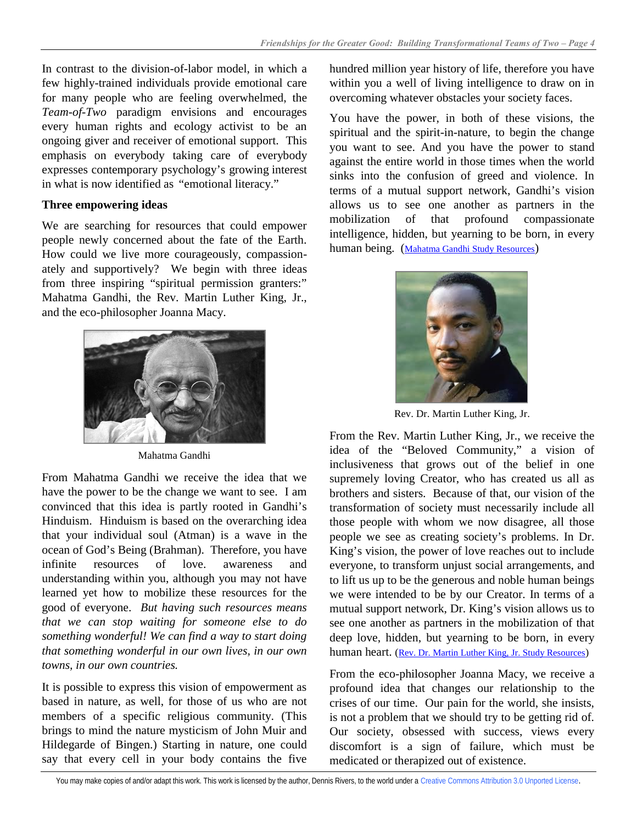In contrast to the division-of-labor model, in which a few highly-trained individuals provide emotional care for many people who are feeling overwhelmed, the *Team-of-Two* paradigm envisions and encourages every human rights and ecology activist to be an ongoing giver and receiver of emotional support. This emphasis on everybody taking care of everybody expresses contemporary psychology's growing interest in what is now identified as "emotional literacy."

#### **Three empowering ideas**

We are searching for resources that could empower people newly concerned about the fate of the Earth. How could we live more courageously, compassionately and supportively? We begin with three ideas from three inspiring "spiritual permission granters:" Mahatma Gandhi, the Rev. Martin Luther King, Jr., and the eco-philosopher Joanna Macy.



Mahatma Gandhi

From Mahatma Gandhi we receive the idea that we have the power to be the change we want to see. I am convinced that this idea is partly rooted in Gandhi's Hinduism. Hinduism is based on the overarching idea that your individual soul (Atman) is a wave in the ocean of God's Being (Brahman). Therefore, you have infinite resources of love. awareness and understanding within you, although you may not have learned yet how to mobilize these resources for the good of everyone. *But having such resources means that we can stop waiting for someone else to do something wonderful! We can find a way to start doing that something wonderful in our own lives, in our own towns, in our own countries.*

It is possible to express this vision of empowerment as based in nature, as well, for those of us who are not members of a specific religious community. (This brings to mind the nature mysticism of John Muir and Hildegarde of Bingen.) Starting in nature, one could say that every cell in your body contains the five

hundred million year history of life, therefore you have within you a well of living intelligence to draw on in overcoming whatever obstacles your society faces.

You have the power, in both of these visions, the spiritual and the spirit-in-nature, to begin the change you want to see. And you have the power to stand against the entire world in those times when the world sinks into the confusion of greed and violence. In terms of a mutual support network, Gandhi's vision allows us to see one another as partners in the mobilization of that profound compassionate intelligence, hidden, but yearning to be born, in every human being. ([Mahatma Gandhi Study Resources](http://www.earthcitizens.net/mentors/mahatma-gandhi-study-resources/))



Rev. Dr. Martin Luther King, Jr.

From the Rev. Martin Luther King, Jr., we receive the idea of the "Beloved Community," a vision of inclusiveness that grows out of the belief in one supremely loving Creator, who has created us all as brothers and sisters. Because of that, our vision of the transformation of society must necessarily include all those people with whom we now disagree, all those people we see as creating society's problems. In Dr. King's vision, the power of love reaches out to include everyone, to transform unjust social arrangements, and to lift us up to be the generous and noble human beings we were intended to be by our Creator. In terms of a mutual support network, Dr. King's vision allows us to see one another as partners in the mobilization of that deep love, hidden, but yearning to be born, in every human heart. ([Rev. Dr. Martin Luther King, Jr. Study Resources](http://www.earthcitizens.net/mentors/martin-luther-king-jr/))

From the eco-philosopher Joanna Macy, we receive a profound idea that changes our relationship to the crises of our time. Our pain for the world, she insists, is not a problem that we should try to be getting rid of. Our society, obsessed with success, views every discomfort is a sign of failure, which must be medicated or therapized out of existence.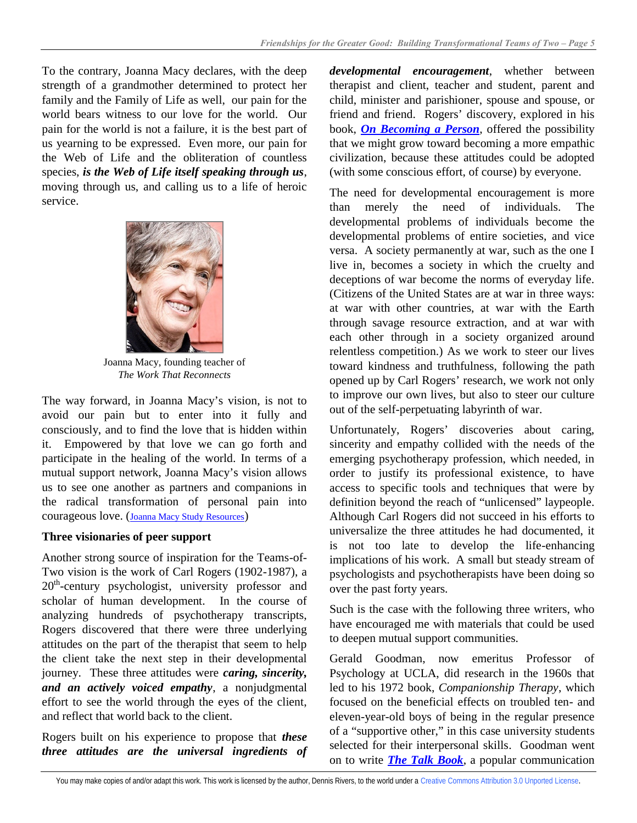To the contrary, Joanna Macy declares, with the deep strength of a grandmother determined to protect her family and the Family of Life as well, our pain for the world bears witness to our love for the world. Our pain for the world is not a failure, it is the best part of us yearning to be expressed. Even more, our pain for the Web of Life and the obliteration of countless species, *is the Web of Life itself speaking through us*, moving through us, and calling us to a life of heroic service.



Joanna Macy, founding teacher of *The Work That Reconnects*

The way forward, in Joanna Macy's vision, is not to avoid our pain but to enter into it fully and consciously, and to find the love that is hidden within it. Empowered by that love we can go forth and participate in the healing of the world. In terms of a mutual support network, Joanna Macy's vision allows us to see one another as partners and companions in the radical transformation of personal pain into courageous love. ([Joanna Macy Study Resources](http://www.earthcitizens.net/mentors/joanna-macy/))

## **Three visionaries of peer support**

Another strong source of inspiration for the Teams-of-Two vision is the work of Carl Rogers (1902-1987), a 20<sup>th</sup>-century psychologist, university professor and scholar of human development. In the course of analyzing hundreds of psychotherapy transcripts, Rogers discovered that there were three underlying attitudes on the part of the therapist that seem to help the client take the next step in their developmental journey. These three attitudes were *caring, sincerity, and an actively voiced empathy*, a nonjudgmental effort to see the world through the eyes of the client, and reflect that world back to the client.

Rogers built on his experience to propose that *these three attitudes are the universal ingredients of*  *developmental encouragement*, whether between therapist and client, teacher and student, parent and child, minister and parishioner, spouse and spouse, or friend and friend. Rogers' discovery, explored in his book, *[On Becoming a Person](http://global-find-a-book.net/carl-rogers-on-becoming-a-person-039575531x-9780395755310/)*, offered the possibility that we might grow toward becoming a more empathic civilization, because these attitudes could be adopted (with some conscious effort, of course) by everyone.

The need for developmental encouragement is more than merely the need of individuals. The developmental problems of individuals become the developmental problems of entire societies, and vice versa. A society permanently at war, such as the one I live in, becomes a society in which the cruelty and deceptions of war become the norms of everyday life. (Citizens of the United States are at war in three ways: at war with other countries, at war with the Earth through savage resource extraction, and at war with each other through in a society organized around relentless competition.) As we work to steer our lives toward kindness and truthfulness, following the path opened up by Carl Rogers' research, we work not only to improve our own lives, but also to steer our culture out of the self-perpetuating labyrinth of war.

Unfortunately, Rogers' discoveries about caring, sincerity and empathy collided with the needs of the emerging psychotherapy profession, which needed, in order to justify its professional existence, to have access to specific tools and techniques that were by definition beyond the reach of "unlicensed" laypeople. Although Carl Rogers did not succeed in his efforts to universalize the three attitudes he had documented, it is not too late to develop the life-enhancing implications of his work. A small but steady stream of psychologists and psychotherapists have been doing so over the past forty years.

Such is the case with the following three writers, who have encouraged me with materials that could be used to deepen mutual support communities.

Gerald Goodman, now emeritus Professor of Psychology at UCLA, did research in the 1960s that led to his 1972 book, *Companionship Therapy*, which focused on the beneficial effects on troubled ten- and eleven-year-old boys of being in the regular presence of a "supportive other," in this case university students selected for their interpersonal skills. Goodman went on to write *[The Talk Book](http://global-find-a-book.net/gerald-goodman-the-talk-book-1439246890-9781439246894/)*, a popular communication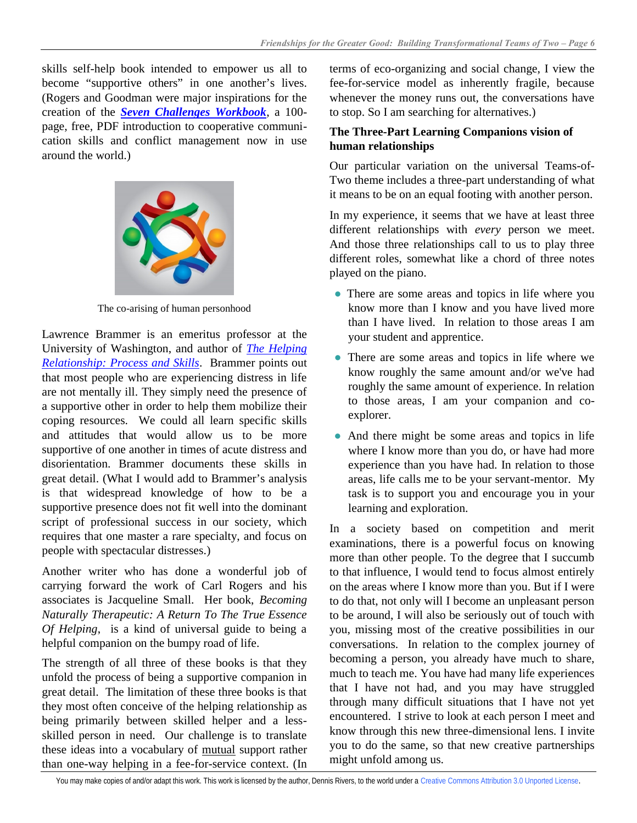skills self-help book intended to empower us all to become "supportive others" in one another's lives. (Rogers and Goodman were major inspirations for the creation of the *[Seven Challenges Workbook](http://www.newconversations.net/)*, a 100 page, free, PDF introduction to cooperative communication skills and conflict management now in use around the world.)



The co-arising of human personhood

Lawrence Brammer is an emeritus professor at the University of Washington, and author of *[The Helping](http://global-find-a-book.net/lawrence-brammer-the-helping-relationship-020535520x-9780205355204/)  [Relationship: Process and Skills](http://global-find-a-book.net/lawrence-brammer-the-helping-relationship-020535520x-9780205355204/)*. Brammer points out that most people who are experiencing distress in life are not mentally ill. They simply need the presence of a supportive other in order to help them mobilize their coping resources. We could all learn specific skills and attitudes that would allow us to be more supportive of one another in times of acute distress and disorientation. Brammer documents these skills in great detail. (What I would add to Brammer's analysis is that widespread knowledge of how to be a supportive presence does not fit well into the dominant script of professional success in our society, which requires that one master a rare specialty, and focus on people with spectacular distresses.)

Another writer who has done a wonderful job of carrying forward the work of Carl Rogers and his associates is Jacqueline Small. Her book, *Becoming Naturally Therapeutic: A Return To The True Essence Of Helping*, is a kind of universal guide to being a helpful companion on the bumpy road of life.

The strength of all three of these books is that they unfold the process of being a supportive companion in great detail. The limitation of these three books is that they most often conceive of the helping relationship as being primarily between skilled helper and a lessskilled person in need. Our challenge is to translate these ideas into a vocabulary of mutual support rather than one-way helping in a fee-for-service context. (In

terms of eco-organizing and social change, I view the fee-for-service model as inherently fragile, because whenever the money runs out, the conversations have to stop. So I am searching for alternatives.)

## **The Three-Part Learning Companions vision of human relationships**

Our particular variation on the universal Teams-of-Two theme includes a three-part understanding of what it means to be on an equal footing with another person.

In my experience, it seems that we have at least three different relationships with *every* person we meet. And those three relationships call to us to play three different roles, somewhat like a chord of three notes played on the piano.

- **●** There are some areas and topics in life where you know more than I know and you have lived more than I have lived. In relation to those areas I am your student and apprentice.
- **●** There are some areas and topics in life where we know roughly the same amount and/or we've had roughly the same amount of experience. In relation to those areas, I am your companion and coexplorer.
- **●** And there might be some areas and topics in life where I know more than you do, or have had more experience than you have had. In relation to those areas, life calls me to be your servant-mentor. My task is to support you and encourage you in your learning and exploration.

In a society based on competition and merit examinations, there is a powerful focus on knowing more than other people. To the degree that I succumb to that influence, I would tend to focus almost entirely on the areas where I know more than you. But if I were to do that, not only will I become an unpleasant person to be around, I will also be seriously out of touch with you, missing most of the creative possibilities in our conversations. In relation to the complex journey of becoming a person, you already have much to share, much to teach me. You have had many life experiences that I have not had, and you may have struggled through many difficult situations that I have not yet encountered. I strive to look at each person I meet and know through this new three-dimensional lens. I invite you to do the same, so that new creative partnerships might unfold among us.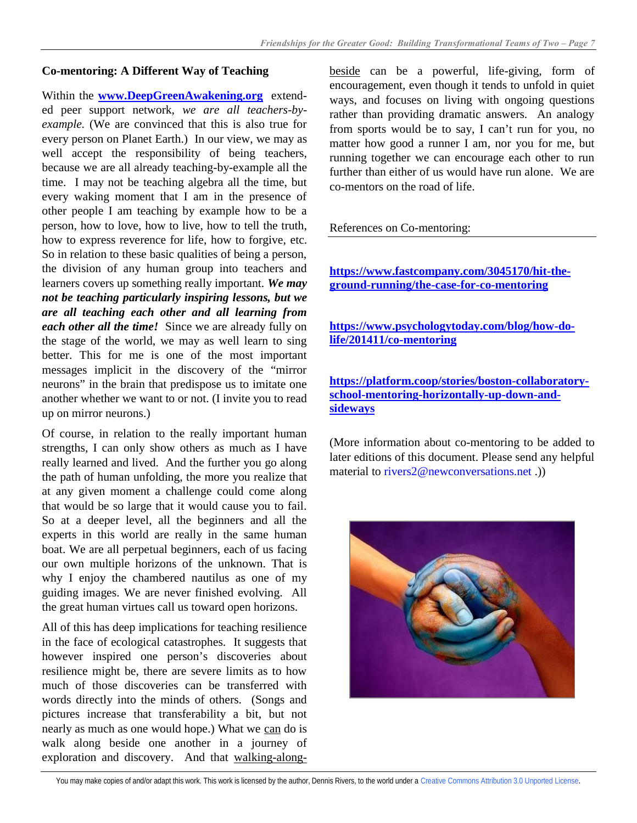#### **Co-mentoring: A Different Way of Teaching**

Within the **[www.DeepGreenAwakening.org](http://www.deepgreenawakening.org/)** extended peer support network, *we are all teachers-byexample.* (We are convinced that this is also true for every person on Planet Earth.) In our view, we may as well accept the responsibility of being teachers, because we are all already teaching-by-example all the time. I may not be teaching algebra all the time, but every waking moment that I am in the presence of other people I am teaching by example how to be a person, how to love, how to live, how to tell the truth, how to express reverence for life, how to forgive, etc. So in relation to these basic qualities of being a person, the division of any human group into teachers and learners covers up something really important. *We may not be teaching particularly inspiring lessons, but we are all teaching each other and all learning from each other all the time!* Since we are already fully on the stage of the world, we may as well learn to sing better. This for me is one of the most important messages implicit in the discovery of the "mirror neurons" in the brain that predispose us to imitate one another whether we want to or not. (I invite you to read up on mirror neurons.)

Of course, in relation to the really important human strengths, I can only show others as much as I have really learned and lived. And the further you go along the path of human unfolding, the more you realize that at any given moment a challenge could come along that would be so large that it would cause you to fail. So at a deeper level, all the beginners and all the experts in this world are really in the same human boat. We are all perpetual beginners, each of us facing our own multiple horizons of the unknown. That is why I enjoy the chambered nautilus as one of my guiding images. We are never finished evolving. All the great human virtues call us toward open horizons.

All of this has deep implications for teaching resilience in the face of ecological catastrophes. It suggests that however inspired one person's discoveries about resilience might be, there are severe limits as to how much of those discoveries can be transferred with words directly into the minds of others. (Songs and pictures increase that transferability a bit, but not nearly as much as one would hope.) What we can do is walk along beside one another in a journey of exploration and discovery. And that walking-alongbeside can be a powerful, life-giving, form of encouragement, even though it tends to unfold in quiet ways, and focuses on living with ongoing questions rather than providing dramatic answers. An analogy from sports would be to say, I can't run for you, no matter how good a runner I am, nor you for me, but running together we can encourage each other to run further than either of us would have run alone. We are co-mentors on the road of life.

#### References on Co-mentoring:

**[https://www.fastcompany.com/3045170/hit-the](https://www.fastcompany.com/3045170/hit-the-ground-running/the-case-for-co-mentoring)[ground-running/the-case-for-co-mentoring](https://www.fastcompany.com/3045170/hit-the-ground-running/the-case-for-co-mentoring)**

**[https://www.psychologytoday.com/blog/how-do](https://www.psychologytoday.com/blog/how-do-life/201411/co-mentoring)[life/201411/co-mentoring](https://www.psychologytoday.com/blog/how-do-life/201411/co-mentoring)**

**[https://platform.coop/stories/boston-collaboratory](https://platform.coop/stories/boston-collaboratory-school-mentoring-horizontally-up-down-and-sideways)[school-mentoring-horizontally-up-down-and](https://platform.coop/stories/boston-collaboratory-school-mentoring-horizontally-up-down-and-sideways)[sideways](https://platform.coop/stories/boston-collaboratory-school-mentoring-horizontally-up-down-and-sideways)**

(More information about co-mentoring to be added to later editions of this document. Please send any helpful material to [rivers2@newconversations.net](mailto:rivers2@newconversations.net) .))

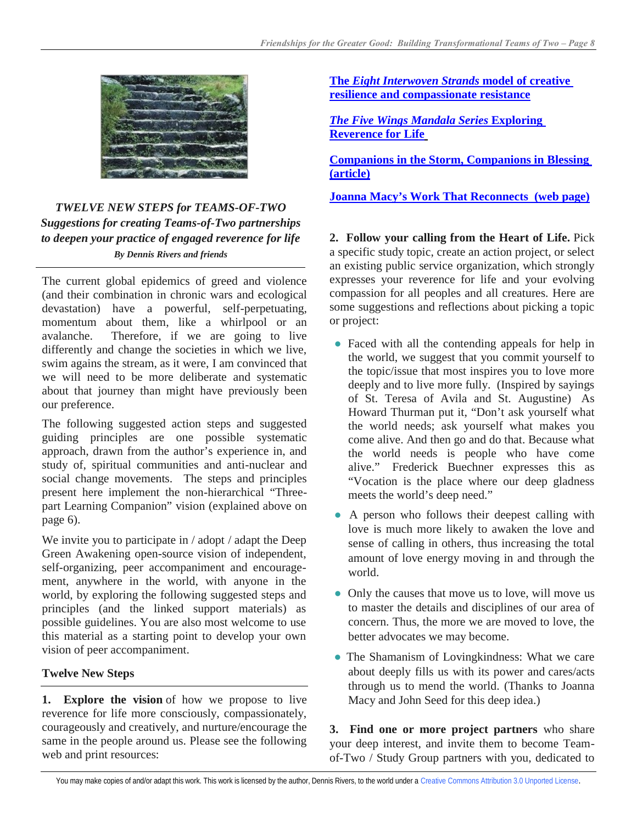

# *TWELVE NEW STEPS for TEAMS-OF-TWO Suggestions for creating Teams-of-Two partnerships to deepen your practice of engaged reverence for life By Dennis Rivers and friends*

The current global epidemics of greed and violence (and their combination in chronic wars and ecological devastation) have a powerful, self-perpetuating, momentum about them, like a whirlpool or an avalanche. Therefore, if we are going to live differently and change the societies in which we live, swim agains the stream, as it were, I am convinced that we will need to be more deliberate and systematic about that journey than might have previously been our preference.

The following suggested action steps and suggested guiding principles are one possible systematic approach, drawn from the author's experience in, and study of, spiritual communities and anti-nuclear and social change movements. The steps and principles present here implement the non-hierarchical "Threepart Learning Companion" vision (explained above on page 6).

We invite you to participate in / adopt / adapt the Deep Green Awakening open-source vision of independent, self-organizing, peer accompaniment and encouragement, anywhere in the world, with anyone in the world, by exploring the following suggested steps and principles (and the linked support materials) as possible guidelines. You are also most welcome to use this material as a starting point to develop your own vision of peer accompaniment.

## **Twelve New Steps**

**1. Explore the vision** of how we propose to live reverence for life more consciously, compassionately, courageously and creatively, and nurture/encourage the same in the people around us. Please see the following web and print resources:

**The** *[Eight Interwoven Strands](http://deepgreenawakening.org/library/deep-green-awakening-mandala-series.pdf)* **model of creative [resilience and compassionate resistance](http://deepgreenawakening.org/library/deep-green-awakening-mandala-series.pdf)** 

*[The Five Wings Mandala](http://deepgreenawakening.org/library/seven-mandalas-exploring-reverence-for-life.pdf) Series* **Exploring [Reverence for Life](http://deepgreenawakening.org/library/seven-mandalas-exploring-reverence-for-life.pdf)**

**[Companions in the Storm, Companions in Blessing](http://deepgreenawakening.org/library/companions-in-blessing.pdf) [\(article\)](http://deepgreenawakening.org/library/companions-in-blessing.pdf)**

**[Joanna Macy's Work That Reconnects](https://www.earthcitizens.net/mentors/joanna-macy/) (web page)**

**2. Follow your calling from the Heart of Life.** Pick a specific study topic, create an action project, or select an existing public service organization, which strongly expresses your reverence for life and your evolving compassion for all peoples and all creatures. Here are some suggestions and reflections about picking a topic or project:

- **●** Faced with all the contending appeals for help in the world, we suggest that you commit yourself to the topic/issue that most inspires you to love more deeply and to live more fully. (Inspired by sayings of St. Teresa of Avila and St. Augustine) As Howard Thurman put it, "Don't ask yourself what the world needs; ask yourself what makes you come alive. And then go and do that. Because what the world needs is people who have come alive." Frederick Buechner expresses this as "Vocation is the place where our deep gladness meets the world's deep need."
- **●** A person who follows their deepest calling with love is much more likely to awaken the love and sense of calling in others, thus increasing the total amount of love energy moving in and through the world.
- **●** Only the causes that move us to love, will move us to master the details and disciplines of our area of concern. Thus, the more we are moved to love, the better advocates we may become.
- **●** The Shamanism of Lovingkindness: What we care about deeply fills us with its power and cares/acts through us to mend the world. (Thanks to Joanna Macy and John Seed for this deep idea.)

**3. Find one or more project partners** who share your deep interest, and invite them to become Teamof-Two / Study Group partners with you, dedicated to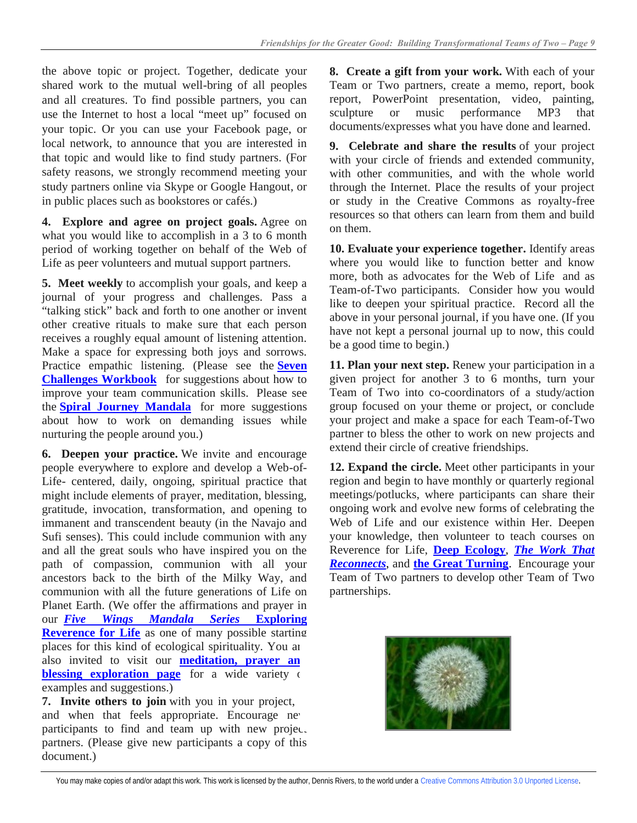the above topic or project. Together, dedicate your shared work to the mutual well-bring of all peoples and all creatures. To find possible partners, you can use the Internet to host a local "meet up" focused on your topic. Or you can use your Facebook page, or local network, to announce that you are interested in that topic and would like to find study partners. (For safety reasons, we strongly recommend meeting your study partners online via Skype or Google Hangout, or in public places such as bookstores or cafés.)

**4. Explore and agree on project goals.** Agree on what you would like to accomplish in a 3 to 6 month period of working together on behalf of the Web of Life as peer volunteers and mutual support partners.

**5. Meet weekly** to accomplish your goals, and keep a journal of your progress and challenges. Pass a "talking stick" back and forth to one another or invent other creative rituals to make sure that each person receives a roughly equal amount of listening attention. Make a space for expressing both joys and sorrows. Practice empathic listening. (Please see the **[Seven](http://www.newconversations.net/)  [Challenges Workbook](http://www.newconversations.net/)** for suggestions about how to improve your team communication skills. Please see the **[Spiral Journey Mandala](http://www.earthcitizens.net/spiral-journey-resilience-map/)** for more suggestions about how to work on demanding issues while nurturing the people around you.)

**6. Deepen your practice.** We invite and encourage people everywhere to explore and develop a Web-of-Life- centered, daily, ongoing, spiritual practice that might include elements of prayer, meditation, blessing, gratitude, invocation, transformation, and opening to immanent and transcendent beauty (in the Navajo and Sufi senses). This could include communion with any and all the great souls who have inspired you on the path of compassion, communion with all your ancestors back to the birth of the Milky Way, and communion with all the future generations of Life on Planet Earth. (We offer the affirmations and prayer in our *[Five Wings Mandala Series](http://deepgreenawakening.org/library/seven-mandalas-exploring-reverence-for-life.pdf)* **Exploring [Reverence for Life](http://deepgreenawakening.org/library/seven-mandalas-exploring-reverence-for-life.pdf)** as one of many possible starting places for this kind of ecological spirituality. You are also invited to visit our **meditation, prayer an [blessing exploration page](http://deepgreenawakening.org/meditations-prayers-blessings-creative-questions/)** for a wide variety of examples and suggestions.)

**7. Invite others to join** with you in your project, and when that feels appropriate. Encourage new participants to find and team up with new project partners. (Please give new participants a copy of this document.)

**8. Create a gift from your work.** With each of your Team or Two partners, create a memo, report, book report, PowerPoint presentation, video, painting, sculpture or music performance MP3 that documents/expresses what you have done and learned.

**9. Celebrate and share the results** of your project with your circle of friends and extended community, with other communities, and with the whole world through the Internet. Place the results of your project or study in the Creative Commons as royalty-free resources so that others can learn from them and build on them.

**10. Evaluate your experience together.** Identify areas where you would like to function better and know more, both as advocates for the Web of Life and as Team-of-Two participants. Consider how you would like to deepen your spiritual practice. Record all the above in your personal journal, if you have one. (If you have not kept a personal journal up to now, this could be a good time to begin.)

**11. Plan your next step.** Renew your participation in a given project for another 3 to 6 months, turn your Team of Two into co-coordinators of a study/action group focused on your theme or project, or conclude your project and make a space for each Team-of-Two partner to bless the other to work on new projects and extend their circle of creative friendships.

**12. Expand the circle.** Meet other participants in your region and begin to have monthly or quarterly regional meetings/potlucks, where participants can share their ongoing work and evolve new forms of celebrating the Web of Life and our existence within Her. Deepen your knowledge, then volunteer to teach courses on Reverence for Life, **[Deep Ecology](http://www.earthcitizens.net/topics/ecology-eco-philosophy-eco-theology/)**, *[The Work That](http://www.earthcitizens.net/mentors/joanna-macy/)  [Reconnects](http://www.earthcitizens.net/mentors/joanna-macy/)*, and **[the Great Turning](http://www.greattransitionstories.org/wiki/Great_Transition)**. Encourage your Team of Two partners to develop other Team of Two partnerships.



You may make copies of and/or adapt this work. This work is licensed by the author, Dennis Rivers, to the world under [a Creative Commons Attribution 3.0 Unported License](http://creativecommons.org/licenses/by/3.0/deed.en_US).